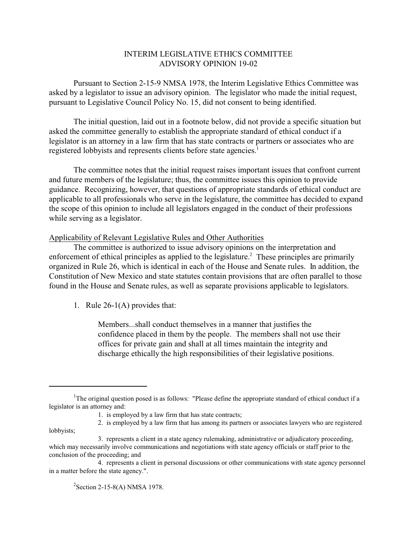## INTERIM LEGISLATIVE ETHICS COMMITTEE ADVISORY OPINION 19-02

Pursuant to Section 2-15-9 NMSA 1978, the Interim Legislative Ethics Committee was asked by a legislator to issue an advisory opinion. The legislator who made the initial request, pursuant to Legislative Council Policy No. 15, did not consent to being identified.

The initial question, laid out in a footnote below, did not provide a specific situation but asked the committee generally to establish the appropriate standard of ethical conduct if a legislator is an attorney in a law firm that has state contracts or partners or associates who are registered lobbyists and represents clients before state agencies.<sup>1</sup>

The committee notes that the initial request raises important issues that confront current and future members of the legislature; thus, the committee issues this opinion to provide guidance. Recognizing, however, that questions of appropriate standards of ethical conduct are applicable to all professionals who serve in the legislature, the committee has decided to expand the scope of this opinion to include all legislators engaged in the conduct of their professions while serving as a legislator.

## Applicability of Relevant Legislative Rules and Other Authorities

The committee is authorized to issue advisory opinions on the interpretation and enforcement of ethical principles as applied to the legislature.<sup>2</sup> These principles are primarily organized in Rule 26, which is identical in each of the House and Senate rules. In addition, the Constitution of New Mexico and state statutes contain provisions that are often parallel to those found in the House and Senate rules, as well as separate provisions applicable to legislators.

1. Rule 26-1(A) provides that:

Members...shall conduct themselves in a manner that justifies the confidence placed in them by the people. The members shall not use their offices for private gain and shall at all times maintain the integrity and discharge ethically the high responsibilities of their legislative positions.

 $2$ Section 2-15-8(A) NMSA 1978.

<sup>&</sup>lt;sup>1</sup>The original question posed is as follows: "Please define the appropriate standard of ethical conduct if a legislator is an attorney and:

<sup>1.</sup> is employed by a law firm that has state contracts;

<sup>2.</sup> is employed by a law firm that has among its partners or associates lawyers who are registered lobbyists;

<sup>3.</sup> represents a client in a state agency rulemaking, administrative or adjudicatory proceeding, which may necessarily involve communications and negotiations with state agency officials or staff prior to the conclusion of the proceeding; and

<sup>4.</sup> represents a client in personal discussions or other communications with state agency personnel in a matter before the state agency.".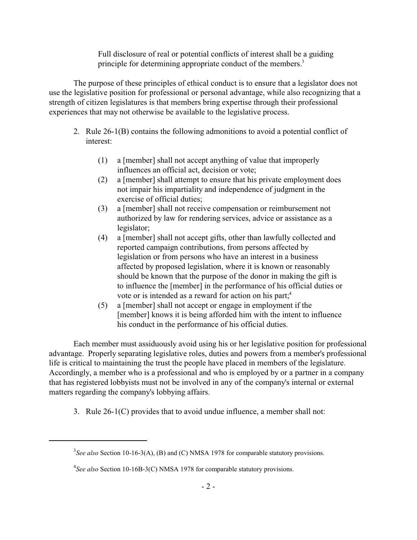Full disclosure of real or potential conflicts of interest shall be a guiding principle for determining appropriate conduct of the members.<sup>3</sup>

The purpose of these principles of ethical conduct is to ensure that a legislator does not use the legislative position for professional or personal advantage, while also recognizing that a strength of citizen legislatures is that members bring expertise through their professional experiences that may not otherwise be available to the legislative process.

- 2. Rule 26-1(B) contains the following admonitions to avoid a potential conflict of interest:
	- (1) a [member] shall not accept anything of value that improperly influences an official act, decision or vote;
	- (2) a [member] shall attempt to ensure that his private employment does not impair his impartiality and independence of judgment in the exercise of official duties;
	- (3) a [member] shall not receive compensation or reimbursement not authorized by law for rendering services, advice or assistance as a legislator;
	- (4) a [member] shall not accept gifts, other than lawfully collected and reported campaign contributions, from persons affected by legislation or from persons who have an interest in a business affected by proposed legislation, where it is known or reasonably should be known that the purpose of the donor in making the gift is to influence the [member] in the performance of his official duties or vote or is intended as a reward for action on his part;<sup>4</sup>
	- (5) a [member] shall not accept or engage in employment if the [member] knows it is being afforded him with the intent to influence his conduct in the performance of his official duties.

Each member must assiduously avoid using his or her legislative position for professional advantage. Properly separating legislative roles, duties and powers from a member's professional life is critical to maintaining the trust the people have placed in members of the legislature. Accordingly, a member who is a professional and who is employed by or a partner in a company that has registered lobbyists must not be involved in any of the company's internal or external matters regarding the company's lobbying affairs.

3. Rule 26-1(C) provides that to avoid undue influence, a member shall not:

<sup>&</sup>lt;sup>3</sup>See also Section 10-16-3(A), (B) and (C) NMSA 1978 for comparable statutory provisions.

<sup>&</sup>lt;sup>4</sup>See also Section 10-16B-3(C) NMSA 1978 for comparable statutory provisions.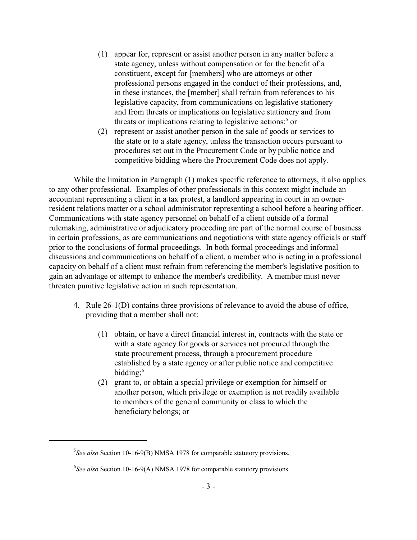- (1) appear for, represent or assist another person in any matter before a state agency, unless without compensation or for the benefit of a constituent, except for [members] who are attorneys or other professional persons engaged in the conduct of their professions, and, in these instances, the [member] shall refrain from references to his legislative capacity, from communications on legislative stationery and from threats or implications on legislative stationery and from threats or implications relating to legislative actions;<sup>5</sup> or
- (2) represent or assist another person in the sale of goods or services to the state or to a state agency, unless the transaction occurs pursuant to procedures set out in the Procurement Code or by public notice and competitive bidding where the Procurement Code does not apply.

While the limitation in Paragraph (1) makes specific reference to attorneys, it also applies to any other professional. Examples of other professionals in this context might include an accountant representing a client in a tax protest, a landlord appearing in court in an ownerresident relations matter or a school administrator representing a school before a hearing officer. Communications with state agency personnel on behalf of a client outside of a formal rulemaking, administrative or adjudicatory proceeding are part of the normal course of business in certain professions, as are communications and negotiations with state agency officials or staff prior to the conclusions of formal proceedings. In both formal proceedings and informal discussions and communications on behalf of a client, a member who is acting in a professional capacity on behalf of a client must refrain from referencing the member's legislative position to gain an advantage or attempt to enhance the member's credibility. A member must never threaten punitive legislative action in such representation.

- 4. Rule 26-1(D) contains three provisions of relevance to avoid the abuse of office, providing that a member shall not:
	- (1) obtain, or have a direct financial interest in, contracts with the state or with a state agency for goods or services not procured through the state procurement process, through a procurement procedure established by a state agency or after public notice and competitive bidding; 6
	- (2) grant to, or obtain a special privilege or exemption for himself or another person, which privilege or exemption is not readily available to members of the general community or class to which the beneficiary belongs; or

<sup>5</sup> *See also* Section 10-16-9(B) NMSA 1978 for comparable statutory provisions.

<sup>6</sup> *See also* Section 10-16-9(A) NMSA 1978 for comparable statutory provisions.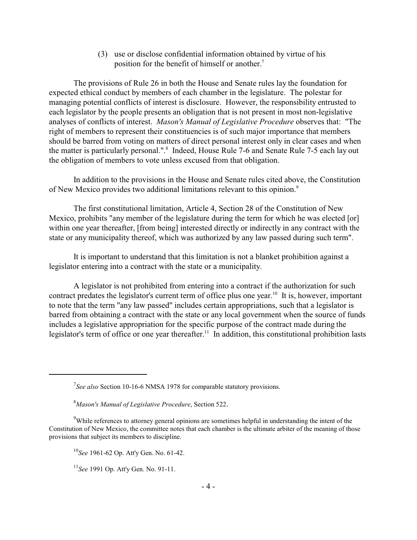(3) use or disclose confidential information obtained by virtue of his position for the benefit of himself or another.<sup>7</sup>

The provisions of Rule 26 in both the House and Senate rules lay the foundation for expected ethical conduct by members of each chamber in the legislature. The polestar for managing potential conflicts of interest is disclosure. However, the responsibility entrusted to each legislator by the people presents an obligation that is not present in most non-legislative analyses of conflicts of interest. *Mason's Manual of Legislative Procedure* observes that: "The right of members to represent their constituencies is of such major importance that members should be barred from voting on matters of direct personal interest only in clear cases and when the matter is particularly personal.". 8 Indeed, House Rule 7-6 and Senate Rule 7-5 each lay out the obligation of members to vote unless excused from that obligation.

In addition to the provisions in the House and Senate rules cited above, the Constitution of New Mexico provides two additional limitations relevant to this opinion.<sup>9</sup>

The first constitutional limitation, Article 4, Section 28 of the Constitution of New Mexico, prohibits "any member of the legislature during the term for which he was elected [or] within one year thereafter, [from being] interested directly or indirectly in any contract with the state or any municipality thereof, which was authorized by any law passed during such term".

It is important to understand that this limitation is not a blanket prohibition against a legislator entering into a contract with the state or a municipality.

A legislator is not prohibited from entering into a contract if the authorization for such contract predates the legislator's current term of office plus one year.<sup>10</sup> It is, however, important to note that the term "any law passed" includes certain appropriations, such that a legislator is barred from obtaining a contract with the state or any local government when the source of funds includes a legislative appropriation for the specific purpose of the contract made during the legislator's term of office or one year thereafter.<sup>11</sup> In addition, this constitutional prohibition lasts

<sup>7</sup> *See also* Section 10-16-6 NMSA 1978 for comparable statutory provisions.

<sup>8</sup>*Mason's Manual of Legislative Procedure*, Section 522.

 $9$ While references to attorney general opinions are sometimes helpful in understanding the intent of the Constitution of New Mexico, the committee notes that each chamber is the ultimate arbiter of the meaning of those provisions that subject its members to discipline.

<sup>10</sup> *See* 1961-62 Op. Att'y Gen. No. 61-42.

<sup>11</sup> *See* 1991 Op. Att'y Gen. No. 91-11.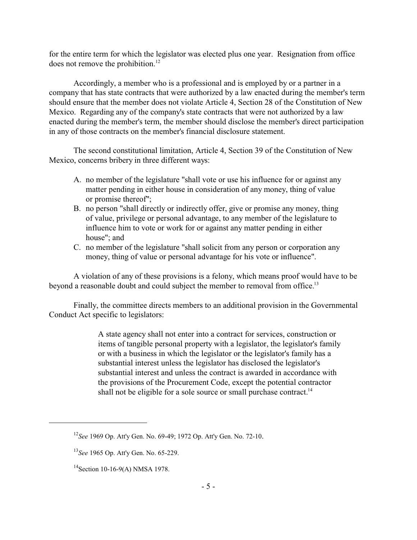for the entire term for which the legislator was elected plus one year. Resignation from office does not remove the prohibition.<sup>12</sup>

Accordingly, a member who is a professional and is employed by or a partner in a company that has state contracts that were authorized by a law enacted during the member's term should ensure that the member does not violate Article 4, Section 28 of the Constitution of New Mexico. Regarding any of the company's state contracts that were not authorized by a law enacted during the member's term, the member should disclose the member's direct participation in any of those contracts on the member's financial disclosure statement.

The second constitutional limitation, Article 4, Section 39 of the Constitution of New Mexico, concerns bribery in three different ways:

- A. no member of the legislature "shall vote or use his influence for or against any matter pending in either house in consideration of any money, thing of value or promise thereof";
- B. no person "shall directly or indirectly offer, give or promise any money, thing of value, privilege or personal advantage, to any member of the legislature to influence him to vote or work for or against any matter pending in either house"; and
- C. no member of the legislature "shall solicit from any person or corporation any money, thing of value or personal advantage for his vote or influence".

A violation of any of these provisions is a felony, which means proof would have to be beyond a reasonable doubt and could subject the member to removal from office.<sup>13</sup>

Finally, the committee directs members to an additional provision in the Governmental Conduct Act specific to legislators:

> A state agency shall not enter into a contract for services, construction or items of tangible personal property with a legislator, the legislator's family or with a business in which the legislator or the legislator's family has a substantial interest unless the legislator has disclosed the legislator's substantial interest and unless the contract is awarded in accordance with the provisions of the Procurement Code, except the potential contractor shall not be eligible for a sole source or small purchase contract.<sup>14</sup>

<sup>12</sup> *See* 1969 Op. Att'y Gen. No. 69-49; 1972 Op. Att'y Gen. No. 72-10.

<sup>13</sup> *See* 1965 Op. Att'y Gen. No. 65-229.

<sup>&</sup>lt;sup>14</sup> Section 10-16-9(A) NMSA 1978.